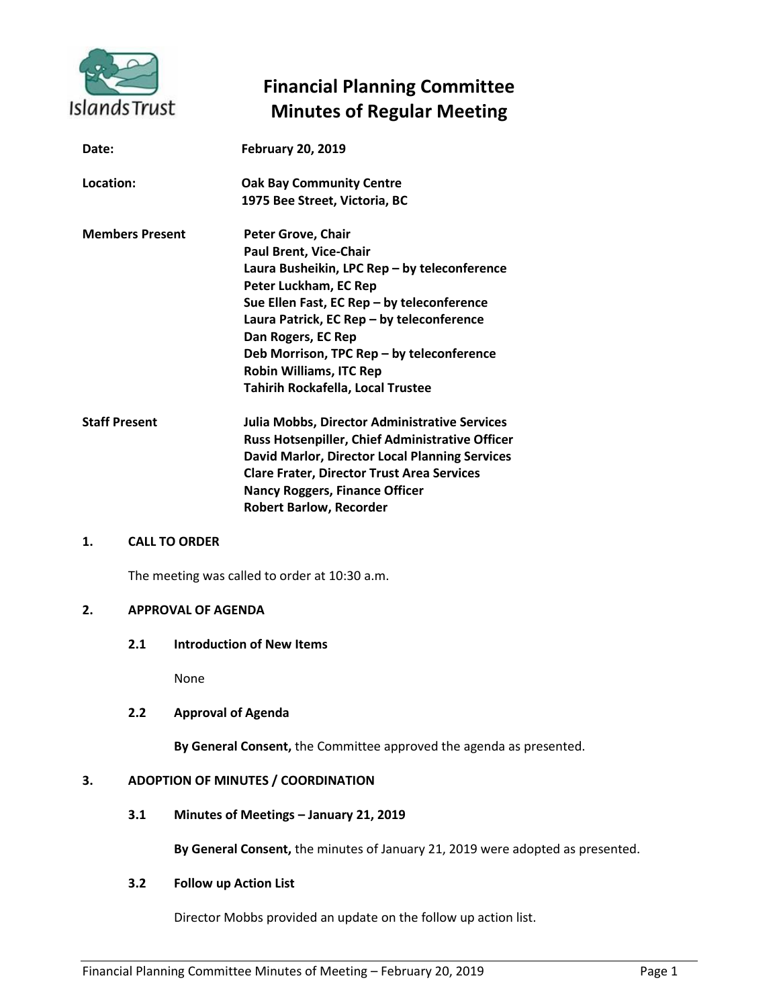

# **Financial Planning Committee Minutes of Regular Meeting**

| Date:                  | <b>February 20, 2019</b>                                                                                                                                                                                                                                                                                                                                          |
|------------------------|-------------------------------------------------------------------------------------------------------------------------------------------------------------------------------------------------------------------------------------------------------------------------------------------------------------------------------------------------------------------|
| Location:              | <b>Oak Bay Community Centre</b><br>1975 Bee Street, Victoria, BC                                                                                                                                                                                                                                                                                                  |
| <b>Members Present</b> | Peter Grove, Chair<br>Paul Brent, Vice-Chair<br>Laura Busheikin, LPC Rep - by teleconference<br>Peter Luckham, EC Rep<br>Sue Ellen Fast, EC Rep - by teleconference<br>Laura Patrick, EC Rep - by teleconference<br>Dan Rogers, EC Rep<br>Deb Morrison, TPC Rep - by teleconference<br><b>Robin Williams, ITC Rep</b><br><b>Tahirih Rockafella, Local Trustee</b> |
| <b>Staff Present</b>   | Julia Mobbs, Director Administrative Services<br><b>Russ Hotsenpiller, Chief Administrative Officer</b><br>David Marlor, Director Local Planning Services<br><b>Clare Frater, Director Trust Area Services</b><br><b>Nancy Roggers, Finance Officer</b><br><b>Robert Barlow, Recorder</b>                                                                         |

#### **1. CALL TO ORDER**

The meeting was called to order at 10:30 a.m.

# **2. APPROVAL OF AGENDA**

**2.1 Introduction of New Items**

None

## **2.2 Approval of Agenda**

**By General Consent,** the Committee approved the agenda as presented.

# **3. ADOPTION OF MINUTES / COORDINATION**

**3.1 Minutes of Meetings – January 21, 2019**

**By General Consent,** the minutes of January 21, 2019 were adopted as presented.

## **3.2 Follow up Action List**

Director Mobbs provided an update on the follow up action list.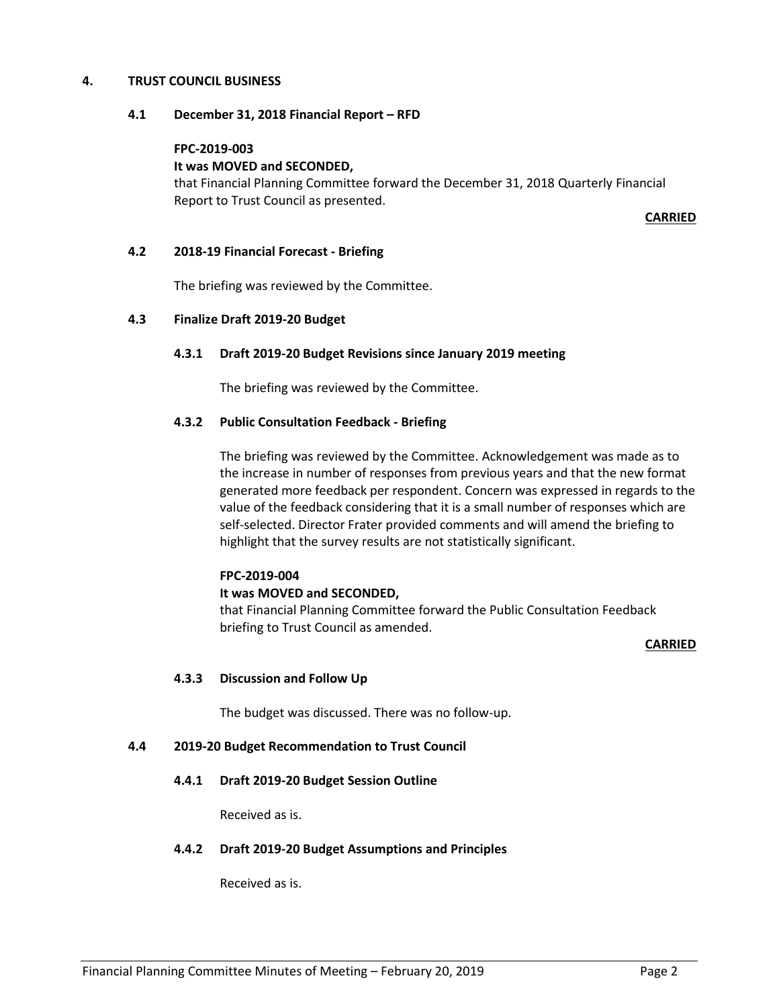## **4. TRUST COUNCIL BUSINESS**

#### **4.1 December 31, 2018 Financial Report – RFD**

## **FPC-2019-003**

#### **It was MOVED and SECONDED,**

that Financial Planning Committee forward the December 31, 2018 Quarterly Financial Report to Trust Council as presented.

**CARRIED**

#### **4.2 2018-19 Financial Forecast - Briefing**

The briefing was reviewed by the Committee.

#### **4.3 Finalize Draft 2019-20 Budget**

#### **4.3.1 Draft 2019-20 Budget Revisions since January 2019 meeting**

The briefing was reviewed by the Committee.

#### **4.3.2 Public Consultation Feedback - Briefing**

The briefing was reviewed by the Committee. Acknowledgement was made as to the increase in number of responses from previous years and that the new format generated more feedback per respondent. Concern was expressed in regards to the value of the feedback considering that it is a small number of responses which are self-selected. Director Frater provided comments and will amend the briefing to highlight that the survey results are not statistically significant.

#### **FPC-2019-004**

## **It was MOVED and SECONDED,**

that Financial Planning Committee forward the Public Consultation Feedback briefing to Trust Council as amended.

#### **CARRIED**

## **4.3.3 Discussion and Follow Up**

The budget was discussed. There was no follow-up.

#### **4.4 2019-20 Budget Recommendation to Trust Council**

## **4.4.1 Draft 2019-20 Budget Session Outline**

Received as is.

#### **4.4.2 Draft 2019-20 Budget Assumptions and Principles**

Received as is.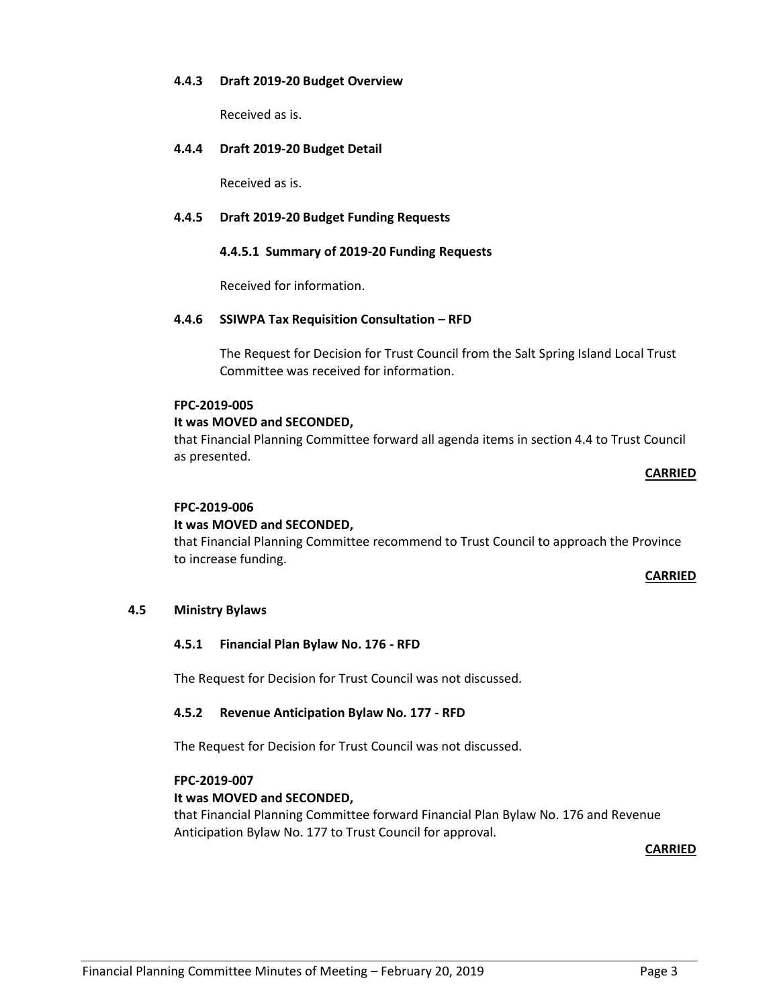## **4.4.3 Draft 2019-20 Budget Overview**

Received as is.

## **4.4.4 Draft 2019-20 Budget Detail**

Received as is.

## **4.4.5 Draft 2019-20 Budget Funding Requests**

## **4.4.5.1 Summary of 2019-20 Funding Requests**

Received for information.

#### **4.4.6 SSIWPA Tax Requisition Consultation – RFD**

The Request for Decision for Trust Council from the Salt Spring Island Local Trust Committee was received for information.

# **FPC-2019-005**

#### **It was MOVED and SECONDED,**

that Financial Planning Committee forward all agenda items in section 4.4 to Trust Council as presented.

#### **CARRIED**

## **FPC-2019-006**

## **It was MOVED and SECONDED,**

that Financial Planning Committee recommend to Trust Council to approach the Province to increase funding.

**CARRIED**

## **4.5 Ministry Bylaws**

## **4.5.1 Financial Plan Bylaw No. 176 - RFD**

The Request for Decision for Trust Council was not discussed.

## **4.5.2 Revenue Anticipation Bylaw No. 177 - RFD**

The Request for Decision for Trust Council was not discussed.

#### **FPC-2019-007**

## **It was MOVED and SECONDED,**

that Financial Planning Committee forward Financial Plan Bylaw No. 176 and Revenue Anticipation Bylaw No. 177 to Trust Council for approval.

**CARRIED**